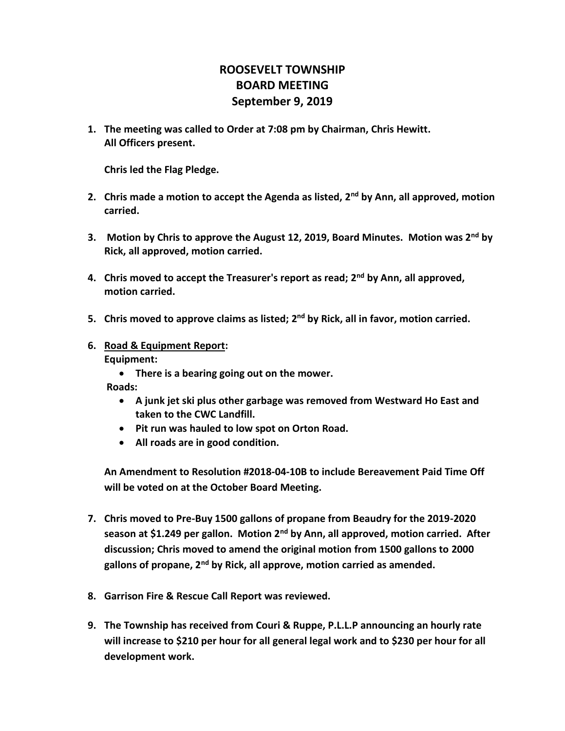## **ROOSEVELT TOWNSHIP BOARD MEETING September 9, 2019**

**1. The meeting was called to Order at 7:08 pm by Chairman, Chris Hewitt. All Officers present.**

**Chris led the Flag Pledge.**

- **2. Chris made a motion to accept the Agenda as listed, 2nd by Ann, all approved, motion carried.**
- **3. Motion by Chris to approve the August 12, 2019, Board Minutes. Motion was 2nd by Rick, all approved, motion carried.**
- **4. Chris moved to accept the Treasurer's report as read; 2nd by Ann, all approved, motion carried.**
- **5. Chris moved to approve claims as listed; 2nd by Rick, all in favor, motion carried.**
- **6. Road & Equipment Report: Equipment:**
	- **There is a bearing going out on the mower.**

 **Roads:** 

- **A junk jet ski plus other garbage was removed from Westward Ho East and taken to the CWC Landfill.**
- **Pit run was hauled to low spot on Orton Road.**
- **All roads are in good condition.**

**An Amendment to Resolution #2018-04-10B to include Bereavement Paid Time Off will be voted on at the October Board Meeting.**

- **7. Chris moved to Pre-Buy 1500 gallons of propane from Beaudry for the 2019-2020 season at \$1.249 per gallon. Motion 2nd by Ann, all approved, motion carried. After discussion; Chris moved to amend the original motion from 1500 gallons to 2000 gallons of propane, 2nd by Rick, all approve, motion carried as amended.**
- **8. Garrison Fire & Rescue Call Report was reviewed.**
- **9. The Township has received from Couri & Ruppe, P.L.L.P announcing an hourly rate will increase to \$210 per hour for all general legal work and to \$230 per hour for all development work.**